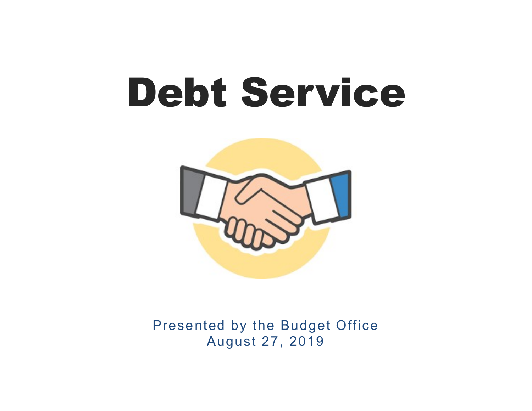

Presented by the Budget Office August 27, 2019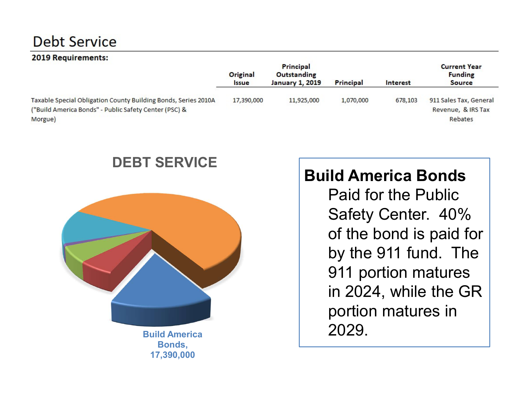#### 2019 Requirements:

| _____                                                                                                                              | Original<br><i><b>Issue</b></i> | Principal<br>Outstanding<br><b>January 1, 2019</b> | Principal | Interest | <b>Current Year</b><br><b>Funding</b><br><b>Source</b>  |
|------------------------------------------------------------------------------------------------------------------------------------|---------------------------------|----------------------------------------------------|-----------|----------|---------------------------------------------------------|
| Taxable Special Obligation County Building Bonds, Series 2010A<br>("Build America Bonds" - Public Safety Center (PSC) &<br>Morgue) | 17,390,000                      | 11,925,000                                         | 1,070,000 | 678,103  | 911 Sales Tax, General<br>Revenue, & IRS Tax<br>Rebates |

#### DEBT SERVICE



Build America Bonds, 17,390,000

# Build America Bonds

Paid for the Public Safety Center. 40% of the bond is paid for by the 911 fund. The 911 portion matures in 2024, while the GR portion matures in 2029.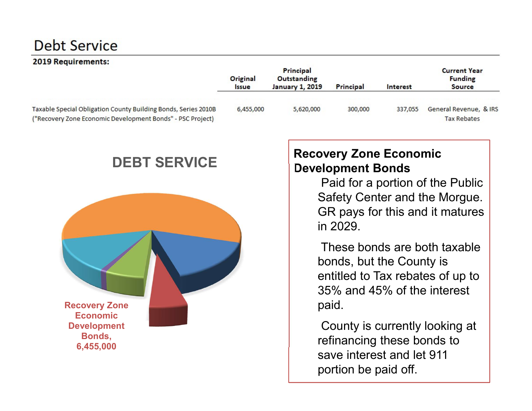#### 2019 Requirements:

|                                                                                                                              | Original<br><i><b>Issue</b></i> | Principal<br>Outstanding<br><b>January 1, 2019</b> | Principal | Interest | <b>Current Year</b><br><b>Funding</b><br><b>Source</b> |
|------------------------------------------------------------------------------------------------------------------------------|---------------------------------|----------------------------------------------------|-----------|----------|--------------------------------------------------------|
| Taxable Special Obligation County Building Bonds, Series 2010B<br>("Recovery Zone Economic Development Bonds" - PSC Project) | 6,455,000                       | 5,620,000                                          | 300,000   | 337.055  | General Revenue, & IRS<br><b>Tax Rebates</b>           |

#### DEBT SERVICE



#### Recovery Zone Economic Development Bonds

Paid for a portion of the Public Safety Center and the Morgue. GR pays for this and it matures in 2029.

These bonds are both taxable bonds, but the County is entitled to Tax rebates of up to 35% and 45% of the interest paid.

County is currently looking at refinancing these bonds to save interest and let 911 portion be paid off.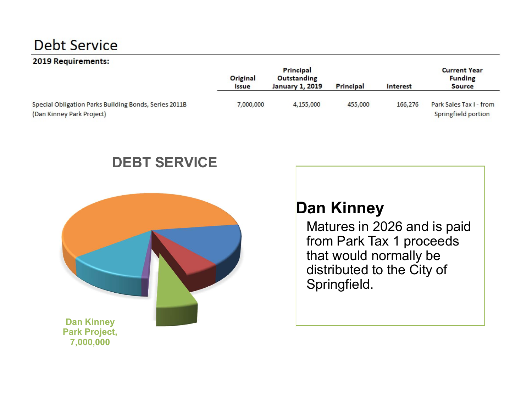#### 2019 Requirements:

|                                                                                    | Original<br><i><b>Issue</b></i> | Principal<br>Outstanding<br><b>January 1, 2019</b> | Principal | <b>Interest</b> | <b>Current Year</b><br><b>Funding</b><br><b>Source</b> |
|------------------------------------------------------------------------------------|---------------------------------|----------------------------------------------------|-----------|-----------------|--------------------------------------------------------|
| Special Obligation Parks Building Bonds, Series 2011B<br>(Dan Kinney Park Project) | 7,000,000                       | 4,155,000                                          | 455,000   | 166,276         | Park Sales Tax I - from<br>Springfield portion         |

#### DEBT SERVICE



# Dan Kinney

Matures in 2026 and is paid from Park Tax 1 proceeds that would normally be distributed to the City of Springfield.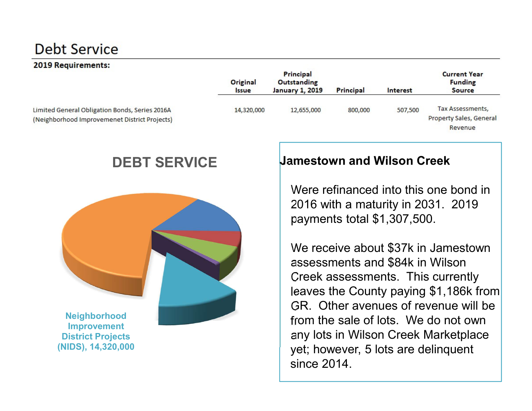#### 2019 Requirements:

|                                                                                                 | Original<br><b>ssue</b> | Principal<br>Outstanding<br><b>January 1, 2019</b> | Principal | <b>Interest</b> | <b>Current Year</b><br><b>Funding</b><br><b>Source</b> |
|-------------------------------------------------------------------------------------------------|-------------------------|----------------------------------------------------|-----------|-----------------|--------------------------------------------------------|
| Limited General Obligation Bonds, Series 2016A<br>(Neighborhood Improvemenet District Projects) | 14,320,000              | 12,655,000                                         | 800,000   | 507,500         | Tax Assessments,<br>Property Sales, General<br>Revenue |

#### DEBT SERVICE



#### Jamestown and Wilson Creek

Were refinanced into this one bond in 2016 with a maturity in 2031. 2019 payments total \$1,307,500.

We receive about \$37k in Jamestown assessments and \$84k in Wilson Creek assessments. This currently leaves the County paying \$1,186k from GR. Other avenues of revenue will be from the sale of lots. We do not own any lots in Wilson Creek Marketplace yet; however, 5 lots are delinquent since 2014.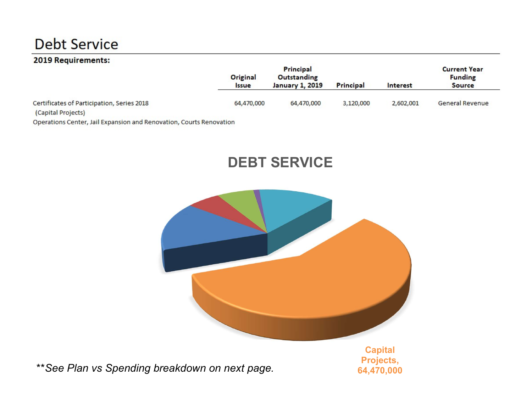#### 2019 Requirements:

|                                                                  | Principal<br>Original<br>Outstanding<br><b>January 1, 2019</b><br><i><b>Issue</b></i> |            | Principal | <b>Current Year</b><br><b>Funding</b><br>Interest<br><b>Source</b> |                 |
|------------------------------------------------------------------|---------------------------------------------------------------------------------------|------------|-----------|--------------------------------------------------------------------|-----------------|
| Certificates of Participation, Series 2018<br>(Capital Projects) | 64,470,000                                                                            | 64,470,000 | 3,120,000 | 2,602,001                                                          | General Revenue |

Operations Center, Jail Expansion and Renovation, Courts Renovation

#### DEBT SERVICE



\*\* See Plan vs Spending breakdown on next page.

Projects, 64,470,000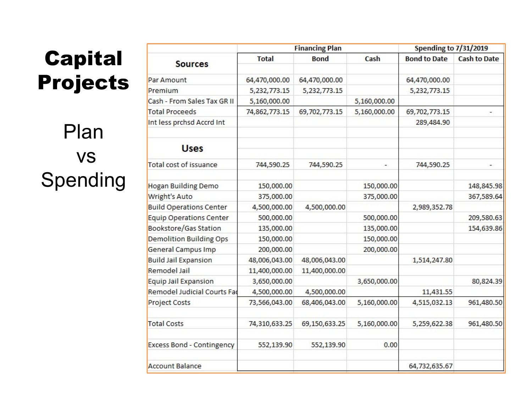# Capital Projects

Plan vs Spending

|                                  |               | <b>Financing Plan</b> | <b>Spending to 7/31/2019</b> |                     |                     |
|----------------------------------|---------------|-----------------------|------------------------------|---------------------|---------------------|
| <b>Sources</b>                   | <b>Total</b>  | <b>Bond</b>           | Cash                         | <b>Bond to Date</b> | <b>Cash to Date</b> |
| Par Amount                       | 64,470,000.00 | 64,470,000.00         |                              | 64,470,000.00       |                     |
| Premium                          | 5,232,773.15  | 5,232,773.15          |                              | 5,232,773.15        |                     |
| Cash - From Sales Tax GR II      | 5,160,000.00  |                       | 5,160,000.00                 |                     |                     |
| <b>Total Proceeds</b>            | 74,862,773.15 | 69,702,773.15         | 5,160,000.00                 | 69,702,773.15       |                     |
| Int less prchsd Accrd Int        |               |                       |                              | 289,484.90          |                     |
| <b>Uses</b>                      |               |                       |                              |                     |                     |
| Total cost of issuance           | 744,590.25    | 744,590.25            |                              | 744,590.25          |                     |
| <b>Hogan Building Demo</b>       | 150,000.00    |                       | 150,000.00                   |                     | 148,845.98          |
| <b>Wright's Auto</b>             | 375,000.00    |                       | 375,000.00                   |                     | 367,589.64          |
| <b>Build Operations Center</b>   | 4,500,000.00  | 4,500,000.00          |                              | 2,989,352.78        |                     |
| <b>Equip Operations Center</b>   | 500,000.00    |                       | 500,000.00                   |                     | 209,580.63          |
| Bookstore/Gas Station            | 135,000.00    |                       | 135,000.00                   |                     | 154,639.86          |
| <b>Demolition Building Ops</b>   | 150,000.00    |                       | 150,000.00                   |                     |                     |
| <b>General Campus Imp</b>        | 200,000.00    |                       | 200,000.00                   |                     |                     |
| <b>Build Jail Expansion</b>      | 48,006,043.00 | 48,006,043.00         |                              | 1,514,247.80        |                     |
| Remodel Jail                     | 11,400,000.00 | 11,400,000.00         |                              |                     |                     |
| <b>Equip Jail Expansion</b>      | 3,650,000.00  |                       | 3,650,000.00                 |                     | 80,824.39           |
| Remodel Judicial Courts Fad      | 4,500,000.00  | 4,500,000.00          |                              | 11,431.55           |                     |
| <b>Project Costs</b>             | 73,566,043.00 | 68,406,043.00         | 5,160,000.00                 | 4,515,032.13        | 961,480.50          |
| <b>Total Costs</b>               | 74,310,633.25 | 69,150,633.25         | 5,160,000.00                 | 5,259,622.38        | 961,480.50          |
| <b>Excess Bond - Contingency</b> | 552,139.90    | 552,139.90            | 0.00                         |                     |                     |
| <b>Account Balance</b>           |               |                       |                              | 64,732,635.67       |                     |